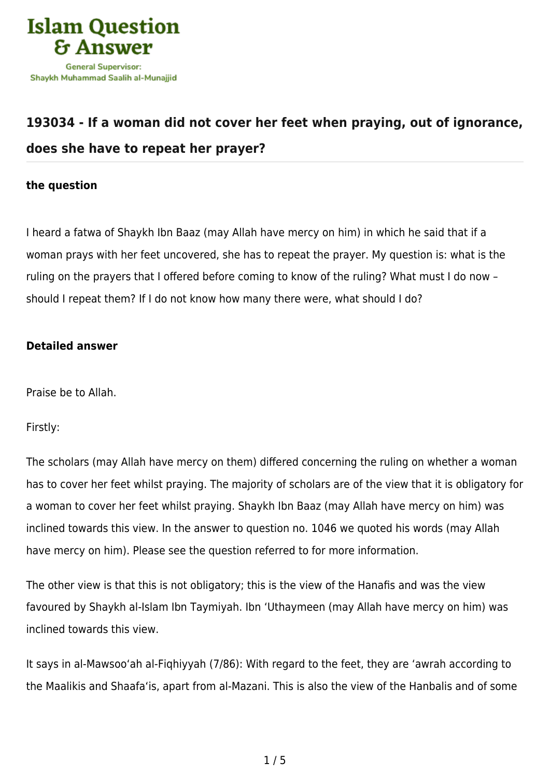

# **[193034 - If a woman did not cover her feet when praying, out of ignorance,](https://islamqa.com/en/answers/193034/if-a-woman-did-not-cover-her-feet-when-praying-out-of-ignorance-does-she-have-to-repeat-her-prayer) [does she have to repeat her prayer?](https://islamqa.com/en/answers/193034/if-a-woman-did-not-cover-her-feet-when-praying-out-of-ignorance-does-she-have-to-repeat-her-prayer)**

## **the question**

I heard a fatwa of Shaykh Ibn Baaz (may Allah have mercy on him) in which he said that if a woman prays with her feet uncovered, she has to repeat the prayer. My question is: what is the ruling on the prayers that I offered before coming to know of the ruling? What must I do now – should I repeat them? If I do not know how many there were, what should I do?

## **Detailed answer**

Praise be to Allah.

Firstly:

The scholars (may Allah have mercy on them) differed concerning the ruling on whether a woman has to cover her feet whilst praying. The majority of scholars are of the view that it is obligatory for a woman to cover her feet whilst praying. Shaykh Ibn Baaz (may Allah have mercy on him) was inclined towards this view. In the answer to question no. 1046 we quoted his words (may Allah have mercy on him). Please see the question referred to for more information.

The other view is that this is not obligatory; this is the view of the Hanafis and was the view favoured by Shaykh al-Islam Ibn Taymiyah. Ibn 'Uthaymeen (may Allah have mercy on him) was inclined towards this view.

It says in al-Mawsoo'ah al-Fiqhiyyah (7/86): With regard to the feet, they are 'awrah according to the Maalikis and Shaafa'is, apart from al-Mazani. This is also the view of the Hanbalis and of some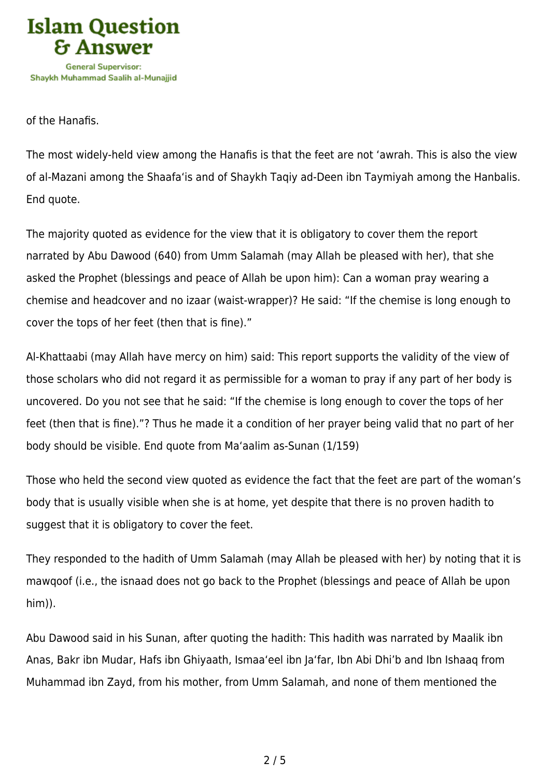

of the Hanafis.

The most widely-held view among the Hanafis is that the feet are not 'awrah. This is also the view of al-Mazani among the Shaafa'is and of Shaykh Taqiy ad-Deen ibn Taymiyah among the Hanbalis. End quote.

The majority quoted as evidence for the view that it is obligatory to cover them the report narrated by Abu Dawood (640) from Umm Salamah (may Allah be pleased with her), that she asked the Prophet (blessings and peace of Allah be upon him): Can a woman pray wearing a chemise and headcover and no izaar (waist-wrapper)? He said: "If the chemise is long enough to cover the tops of her feet (then that is fine)."

Al-Khattaabi (may Allah have mercy on him) said: This report supports the validity of the view of those scholars who did not regard it as permissible for a woman to pray if any part of her body is uncovered. Do you not see that he said: "If the chemise is long enough to cover the tops of her feet (then that is fine)."? Thus he made it a condition of her prayer being valid that no part of her body should be visible. End quote from Ma'aalim as-Sunan (1/159)

Those who held the second view quoted as evidence the fact that the feet are part of the woman's body that is usually visible when she is at home, yet despite that there is no proven hadith to suggest that it is obligatory to cover the feet.

They responded to the hadith of Umm Salamah (may Allah be pleased with her) by noting that it is mawqoof (i.e., the isnaad does not go back to the Prophet (blessings and peace of Allah be upon him)).

Abu Dawood said in his Sunan, after quoting the hadith: This hadith was narrated by Maalik ibn Anas, Bakr ibn Mudar, Hafs ibn Ghiyaath, Ismaa'eel ibn Ja'far, Ibn Abi Dhi'b and Ibn Ishaaq from Muhammad ibn Zayd, from his mother, from Umm Salamah, and none of them mentioned the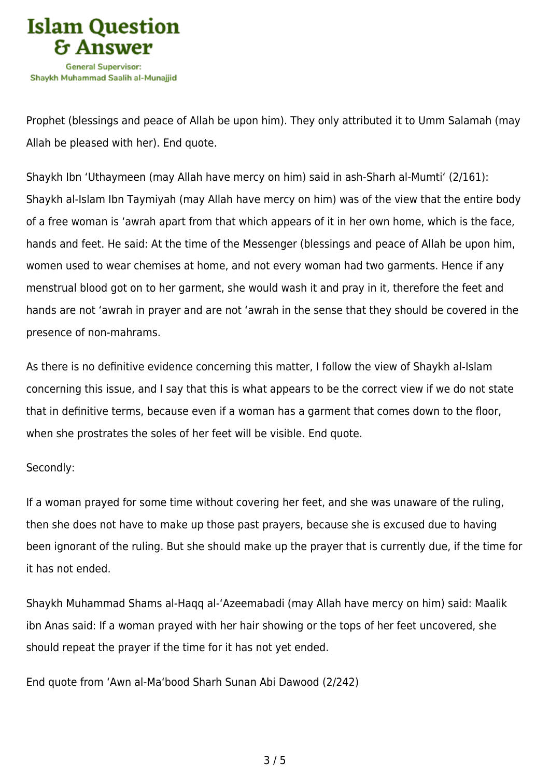

Prophet (blessings and peace of Allah be upon him). They only attributed it to Umm Salamah (may Allah be pleased with her). End quote.

Shaykh Ibn 'Uthaymeen (may Allah have mercy on him) said in ash-Sharh al-Mumti' (2/161): Shaykh al-Islam Ibn Taymiyah (may Allah have mercy on him) was of the view that the entire body of a free woman is 'awrah apart from that which appears of it in her own home, which is the face, hands and feet. He said: At the time of the Messenger (blessings and peace of Allah be upon him, women used to wear chemises at home, and not every woman had two garments. Hence if any menstrual blood got on to her garment, she would wash it and pray in it, therefore the feet and hands are not 'awrah in prayer and are not 'awrah in the sense that they should be covered in the presence of non-mahrams.

As there is no definitive evidence concerning this matter, I follow the view of Shaykh al-Islam concerning this issue, and I say that this is what appears to be the correct view if we do not state that in definitive terms, because even if a woman has a garment that comes down to the floor, when she prostrates the soles of her feet will be visible. End quote.

## Secondly:

If a woman prayed for some time without covering her feet, and she was unaware of the ruling, then she does not have to make up those past prayers, because she is excused due to having been ignorant of the ruling. But she should make up the prayer that is currently due, if the time for it has not ended.

Shaykh Muhammad Shams al-Haqq al-'Azeemabadi (may Allah have mercy on him) said: Maalik ibn Anas said: If a woman prayed with her hair showing or the tops of her feet uncovered, she should repeat the prayer if the time for it has not yet ended.

End quote from 'Awn al-Ma'bood Sharh Sunan Abi Dawood (2/242)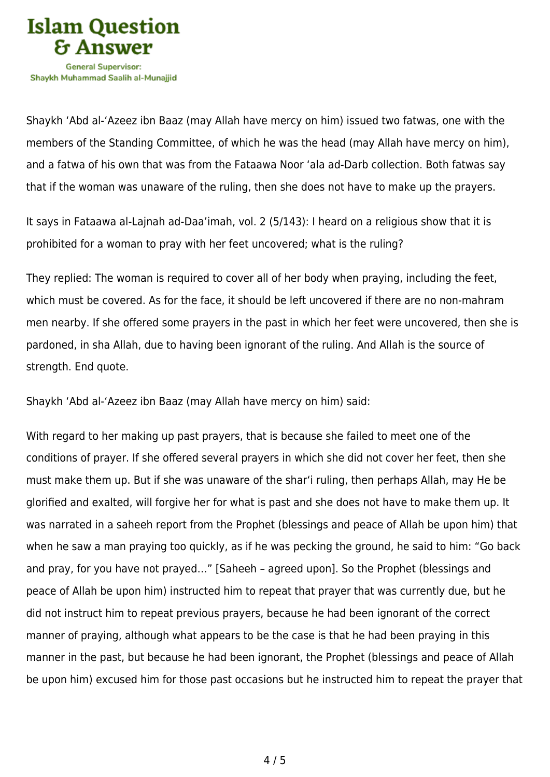

Shavkh Muhammad Saalih al-Munaiiid

Shaykh 'Abd al-'Azeez ibn Baaz (may Allah have mercy on him) issued two fatwas, one with the members of the Standing Committee, of which he was the head (may Allah have mercy on him), and a fatwa of his own that was from the Fataawa Noor 'ala ad-Darb collection. Both fatwas say that if the woman was unaware of the ruling, then she does not have to make up the prayers.

It says in Fataawa al-Lajnah ad-Daa'imah, vol. 2 (5/143): I heard on a religious show that it is prohibited for a woman to pray with her feet uncovered; what is the ruling?

They replied: The woman is required to cover all of her body when praying, including the feet, which must be covered. As for the face, it should be left uncovered if there are no non-mahram men nearby. If she offered some prayers in the past in which her feet were uncovered, then she is pardoned, in sha Allah, due to having been ignorant of the ruling. And Allah is the source of strength. End quote.

Shaykh 'Abd al-'Azeez ibn Baaz (may Allah have mercy on him) said:

With regard to her making up past prayers, that is because she failed to meet one of the conditions of prayer. If she offered several prayers in which she did not cover her feet, then she must make them up. But if she was unaware of the shar'i ruling, then perhaps Allah, may He be glorified and exalted, will forgive her for what is past and she does not have to make them up. It was narrated in a saheeh report from the Prophet (blessings and peace of Allah be upon him) that when he saw a man praying too quickly, as if he was pecking the ground, he said to him: "Go back and pray, for you have not prayed…" [Saheeh – agreed upon]. So the Prophet (blessings and peace of Allah be upon him) instructed him to repeat that prayer that was currently due, but he did not instruct him to repeat previous prayers, because he had been ignorant of the correct manner of praying, although what appears to be the case is that he had been praying in this manner in the past, but because he had been ignorant, the Prophet (blessings and peace of Allah be upon him) excused him for those past occasions but he instructed him to repeat the prayer that